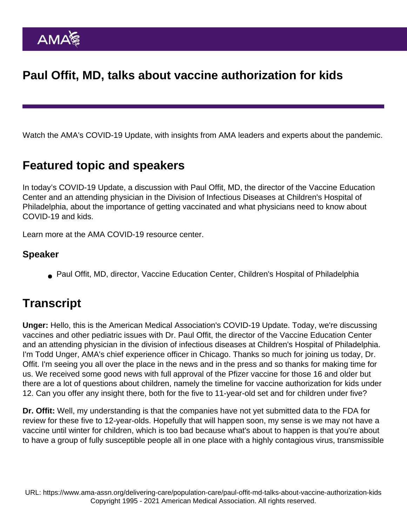Paul Offit, MD, talks about vaccine authorization for kids

Watch the AMA's COVID-19 Update, with insights from AMA leaders and experts about the pandemic.

## Featured topic and speakers

In today's COVID-19 Update, a discussion with Paul Offit, MD, the director of the Vaccine Education Center and an attending physician in the Division of Infectious Diseases at Children's Hospital of Philadelphia, about the importance of getting vaccinated and what physicians need to know about COVID-19 and kids.

Learn more at the [AMA COVID-19 resource center](https://www.ama-assn.org/delivering-care/public-health/covid-19-2019-novel-coronavirus-resource-center-physicians).

Speaker

Paul Offit, MD, director, Vaccine Education Center, Children's Hospital of Philadelphia

## **Transcript**

Unger: Hello, this is the American Medical Association's COVID-19 Update. Today, we're discussing vaccines and other pediatric issues with Dr. Paul Offit, the director of the Vaccine Education Center and an attending physician in the division of infectious diseases at Children's Hospital of Philadelphia. I'm Todd Unger, AMA's chief experience officer in Chicago. Thanks so much for joining us today, Dr. Offit. I'm seeing you all over the place in the news and in the press and so thanks for making time for us. We received some good news with full approval of the Pfizer vaccine for those 16 and older but there are a lot of questions about children, namely the timeline for vaccine authorization for kids under 12. Can you offer any insight there, both for the five to 11-year-old set and for children under five?

Dr. Offit: Well, my understanding is that the companies have not yet submitted data to the FDA for review for these five to 12-year-olds. Hopefully that will happen soon, my sense is we may not have a vaccine until winter for children, which is too bad because what's about to happen is that you're about to have a group of fully susceptible people all in one place with a highly contagious virus, transmissible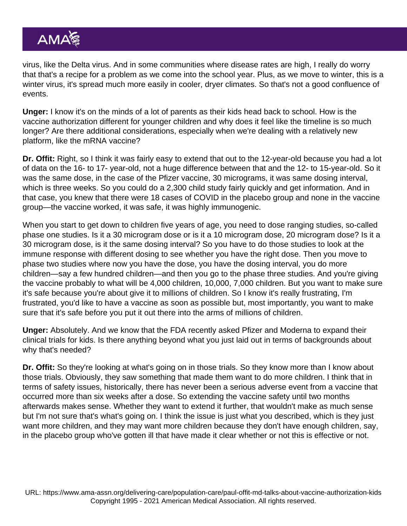virus, like the Delta virus. And in some communities where disease rates are high, I really do worry that that's a recipe for a problem as we come into the school year. Plus, as we move to winter, this is a winter virus, it's spread much more easily in cooler, dryer climates. So that's not a good confluence of events.

Unger: I know it's on the minds of a lot of parents as their kids head back to school. How is the vaccine authorization different for younger children and why does it feel like the timeline is so much longer? Are there additional considerations, especially when we're dealing with a relatively new platform, like the mRNA vaccine?

Dr. Offit: Right, so I think it was fairly easy to extend that out to the 12-year-old because you had a lot of data on the 16- to 17- year-old, not a huge difference between that and the 12- to 15-year-old. So it was the same dose, in the case of the Pfizer vaccine, 30 micrograms, it was same dosing interval, which is three weeks. So you could do a 2,300 child study fairly quickly and get information. And in that case, you knew that there were 18 cases of COVID in the placebo group and none in the vaccine group—the vaccine worked, it was safe, it was highly immunogenic.

When you start to get down to children five years of age, you need to dose ranging studies, so-called phase one studies. Is it a 30 microgram dose or is it a 10 microgram dose, 20 microgram dose? Is it a 30 microgram dose, is it the same dosing interval? So you have to do those studies to look at the immune response with different dosing to see whether you have the right dose. Then you move to phase two studies where now you have the dose, you have the dosing interval, you do more children—say a few hundred children—and then you go to the phase three studies. And you're giving the vaccine probably to what will be 4,000 children, 10,000, 7,000 children. But you want to make sure it's safe because you're about give it to millions of children. So I know it's really frustrating, I'm frustrated, you'd like to have a vaccine as soon as possible but, most importantly, you want to make sure that it's safe before you put it out there into the arms of millions of children.

Unger: Absolutely. And we know that the FDA recently asked Pfizer and Moderna to expand their clinical trials for kids. Is there anything beyond what you just laid out in terms of backgrounds about why that's needed?

Dr. Offit: So they're looking at what's going on in those trials. So they know more than I know about those trials. Obviously, they saw something that made them want to do more children. I think that in terms of safety issues, historically, there has never been a serious adverse event from a vaccine that occurred more than six weeks after a dose. So extending the vaccine safety until two months afterwards makes sense. Whether they want to extend it further, that wouldn't make as much sense but I'm not sure that's what's going on. I think the issue is just what you described, which is they just want more children, and they may want more children because they don't have enough children, say, in the placebo group who've gotten ill that have made it clear whether or not this is effective or not.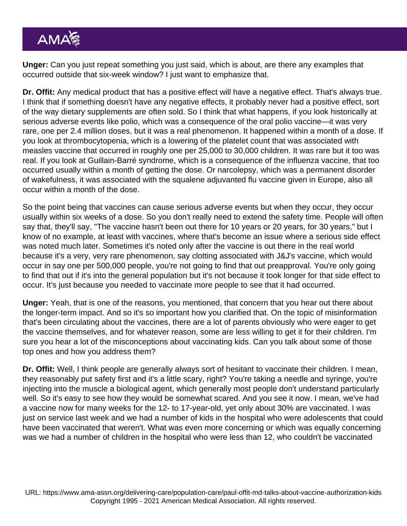Unger: Can you just repeat something you just said, which is about, are there any examples that occurred outside that six-week window? I just want to emphasize that.

Dr. Offit: Any medical product that has a positive effect will have a negative effect. That's always true. I think that if something doesn't have any negative effects, it probably never had a positive effect, sort of the way dietary supplements are often sold. So I think that what happens, if you look historically at serious adverse events like polio, which was a consequence of the oral polio vaccine—it was very rare, one per 2.4 million doses, but it was a real phenomenon. It happened within a month of a dose. If you look at thrombocytopenia, which is a lowering of the platelet count that was associated with measles vaccine that occurred in roughly one per 25,000 to 30,000 children. It was rare but it too was real. If you look at Guillain-Barré syndrome, which is a consequence of the influenza vaccine, that too occurred usually within a month of getting the dose. Or narcolepsy, which was a permanent disorder of wakefulness, it was associated with the squalene adjuvanted flu vaccine given in Europe, also all occur within a month of the dose.

So the point being that vaccines can cause serious adverse events but when they occur, they occur usually within six weeks of a dose. So you don't really need to extend the safety time. People will often say that, they'll say, "The vaccine hasn't been out there for 10 years or 20 years, for 30 years," but I know of no example, at least with vaccines, where that's become an issue where a serious side effect was noted much later. Sometimes it's noted only after the vaccine is out there in the real world because it's a very, very rare phenomenon, say clotting associated with J&J's vaccine, which would occur in say one per 500,000 people, you're not going to find that out preapproval. You're only going to find that out if it's into the general population but it's not because it took longer for that side effect to occur. It's just because you needed to vaccinate more people to see that it had occurred.

Unger: Yeah, that is one of the reasons, you mentioned, that concern that you hear out there about the longer-term impact. And so it's so important how you clarified that. On the topic of misinformation that's been circulating about the vaccines, there are a lot of parents obviously who were eager to get the vaccine themselves, and for whatever reason, some are less willing to get it for their children. I'm sure you hear a lot of the misconceptions about vaccinating kids. Can you talk about some of those top ones and how you address them?

Dr. Offit: Well, I think people are generally always sort of hesitant to vaccinate their children. I mean, they reasonably put safety first and it's a little scary, right? You're taking a needle and syringe, you're injecting into the muscle a biological agent, which generally most people don't understand particularly well. So it's easy to see how they would be somewhat scared. And you see it now. I mean, we've had a vaccine now for many weeks for the 12- to 17-year-old, yet only about 30% are vaccinated. I was just on service last week and we had a number of kids in the hospital who were adolescents that could have been vaccinated that weren't. What was even more concerning or which was equally concerning was we had a number of children in the hospital who were less than 12, who couldn't be vaccinated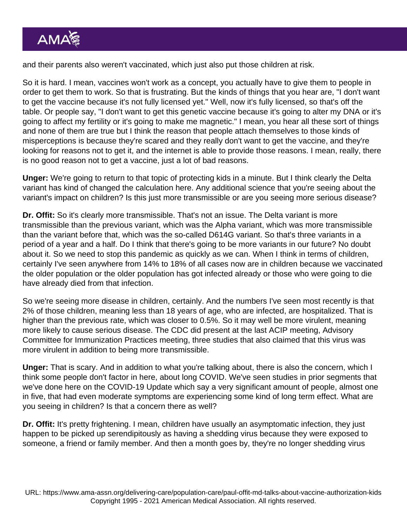and their parents also weren't vaccinated, which just also put those children at risk.

So it is hard. I mean, vaccines won't work as a concept, you actually have to give them to people in order to get them to work. So that is frustrating. But the kinds of things that you hear are, "I don't want to get the vaccine because it's not fully licensed yet." Well, now it's fully licensed, so that's off the table. Or people say, "I don't want to get this genetic vaccine because it's going to alter my DNA or it's going to affect my fertility or it's going to make me magnetic." I mean, you hear all these sort of things and none of them are true but I think the reason that people attach themselves to those kinds of misperceptions is because they're scared and they really don't want to get the vaccine, and they're looking for reasons not to get it, and the internet is able to provide those reasons. I mean, really, there is no good reason not to get a vaccine, just a lot of bad reasons.

Unger: We're going to return to that topic of protecting kids in a minute. But I think clearly the Delta variant has kind of changed the calculation here. Any additional science that you're seeing about the variant's impact on children? Is this just more transmissible or are you seeing more serious disease?

Dr. Offit: So it's clearly more transmissible. That's not an issue. The Delta variant is more transmissible than the previous variant, which was the Alpha variant, which was more transmissible than the variant before that, which was the so-called D614G variant. So that's three variants in a period of a year and a half. Do I think that there's going to be more variants in our future? No doubt about it. So we need to stop this pandemic as quickly as we can. When I think in terms of children, certainly I've seen anywhere from 14% to 18% of all cases now are in children because we vaccinated the older population or the older population has got infected already or those who were going to die have already died from that infection.

So we're seeing more disease in children, certainly. And the numbers I've seen most recently is that 2% of those children, meaning less than 18 years of age, who are infected, are hospitalized. That is higher than the previous rate, which was closer to 0.5%. So it may well be more virulent, meaning more likely to cause serious disease. The CDC did present at the last ACIP meeting, Advisory Committee for Immunization Practices meeting, three studies that also claimed that this virus was more virulent in addition to being more transmissible.

Unger: That is scary. And in addition to what you're talking about, there is also the concern, which I think some people don't factor in here, about long COVID. We've seen studies in prior segments that we've done here on the COVID-19 Update which say a very significant amount of people, almost one in five, that had even moderate symptoms are experiencing some kind of long term effect. What are you seeing in children? Is that a concern there as well?

Dr. Offit: It's pretty frightening. I mean, children have usually an asymptomatic infection, they just happen to be picked up serendipitously as having a shedding virus because they were exposed to someone, a friend or family member. And then a month goes by, they're no longer shedding virus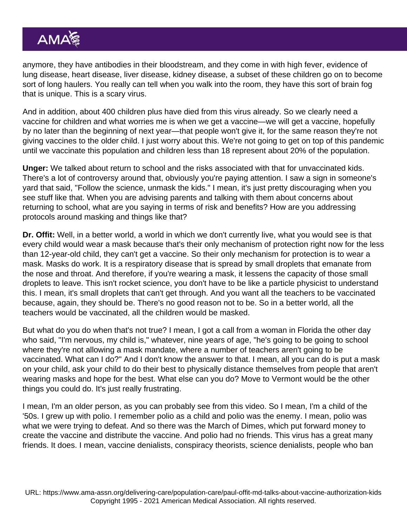anymore, they have antibodies in their bloodstream, and they come in with high fever, evidence of lung disease, heart disease, liver disease, kidney disease, a subset of these children go on to become sort of long haulers. You really can tell when you walk into the room, they have this sort of brain fog that is unique. This is a scary virus.

And in addition, about 400 children plus have died from this virus already. So we clearly need a vaccine for children and what worries me is when we get a vaccine—we will get a vaccine, hopefully by no later than the beginning of next year—that people won't give it, for the same reason they're not giving vaccines to the older child. I just worry about this. We're not going to get on top of this pandemic until we vaccinate this population and children less than 18 represent about 20% of the population.

Unger: We talked about return to school and the risks associated with that for unvaccinated kids. There's a lot of controversy around that, obviously you're paying attention. I saw a sign in someone's yard that said, "Follow the science, unmask the kids." I mean, it's just pretty discouraging when you see stuff like that. When you are advising parents and talking with them about concerns about returning to school, what are you saying in terms of risk and benefits? How are you addressing protocols around masking and things like that?

Dr. Offit: Well, in a better world, a world in which we don't currently live, what you would see is that every child would wear a mask because that's their only mechanism of protection right now for the less than 12-year-old child, they can't get a vaccine. So their only mechanism for protection is to wear a mask. Masks do work. It is a respiratory disease that is spread by small droplets that emanate from the nose and throat. And therefore, if you're wearing a mask, it lessens the capacity of those small droplets to leave. This isn't rocket science, you don't have to be like a particle physicist to understand this. I mean, it's small droplets that can't get through. And you want all the teachers to be vaccinated because, again, they should be. There's no good reason not to be. So in a better world, all the teachers would be vaccinated, all the children would be masked.

But what do you do when that's not true? I mean, I got a call from a woman in Florida the other day who said, "I'm nervous, my child is," whatever, nine years of age, "he's going to be going to school where they're not allowing a mask mandate, where a number of teachers aren't going to be vaccinated. What can I do?" And I don't know the answer to that. I mean, all you can do is put a mask on your child, ask your child to do their best to physically distance themselves from people that aren't wearing masks and hope for the best. What else can you do? Move to Vermont would be the other things you could do. It's just really frustrating.

I mean, I'm an older person, as you can probably see from this video. So I mean, I'm a child of the '50s. I grew up with polio. I remember polio as a child and polio was the enemy. I mean, polio was what we were trying to defeat. And so there was the March of Dimes, which put forward money to create the vaccine and distribute the vaccine. And polio had no friends. This virus has a great many friends. It does. I mean, vaccine denialists, conspiracy theorists, science denialists, people who ban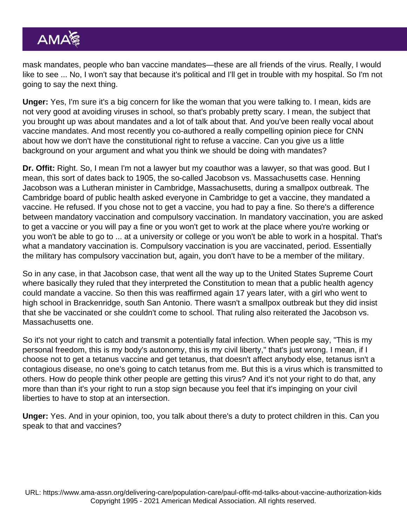mask mandates, people who ban vaccine mandates—these are all friends of the virus. Really, I would like to see ... No, I won't say that because it's political and I'll get in trouble with my hospital. So I'm not going to say the next thing.

Unger: Yes, I'm sure it's a big concern for like the woman that you were talking to. I mean, kids are not very good at avoiding viruses in school, so that's probably pretty scary. I mean, the subject that you brought up was about mandates and a lot of talk about that. And you've been really vocal about vaccine mandates. And most recently you co-authored a really compelling opinion piece for CNN about how we don't have the constitutional right to refuse a vaccine. Can you give us a little background on your argument and what you think we should be doing with mandates?

Dr. Offit: Right. So, I mean I'm not a lawyer but my coauthor was a lawyer, so that was good. But I mean, this sort of dates back to 1905, the so-called Jacobson vs. Massachusetts case. Henning Jacobson was a Lutheran minister in Cambridge, Massachusetts, during a smallpox outbreak. The Cambridge board of public health asked everyone in Cambridge to get a vaccine, they mandated a vaccine. He refused. If you chose not to get a vaccine, you had to pay a fine. So there's a difference between mandatory vaccination and compulsory vaccination. In mandatory vaccination, you are asked to get a vaccine or you will pay a fine or you won't get to work at the place where you're working or you won't be able to go to ... at a university or college or you won't be able to work in a hospital. That's what a mandatory vaccination is. Compulsory vaccination is you are vaccinated, period. Essentially the military has compulsory vaccination but, again, you don't have to be a member of the military.

So in any case, in that Jacobson case, that went all the way up to the United States Supreme Court where basically they ruled that they interpreted the Constitution to mean that a public health agency could mandate a vaccine. So then this was reaffirmed again 17 years later, with a girl who went to high school in Brackenridge, south San Antonio. There wasn't a smallpox outbreak but they did insist that she be vaccinated or she couldn't come to school. That ruling also reiterated the Jacobson vs. Massachusetts one.

So it's not your right to catch and transmit a potentially fatal infection. When people say, "This is my personal freedom, this is my body's autonomy, this is my civil liberty," that's just wrong. I mean, if I choose not to get a tetanus vaccine and get tetanus, that doesn't affect anybody else, tetanus isn't a contagious disease, no one's going to catch tetanus from me. But this is a virus which is transmitted to others. How do people think other people are getting this virus? And it's not your right to do that, any more than than it's your right to run a stop sign because you feel that it's impinging on your civil liberties to have to stop at an intersection.

Unger: Yes. And in your opinion, too, you talk about there's a duty to protect children in this. Can you speak to that and vaccines?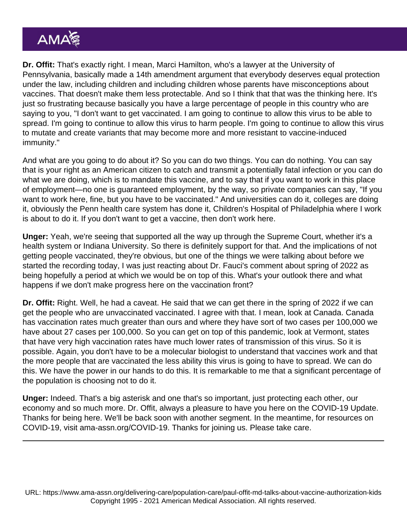Dr. Offit: That's exactly right. I mean, Marci Hamilton, who's a lawyer at the University of Pennsylvania, basically made a 14th amendment argument that everybody deserves equal protection under the law, including children and including children whose parents have misconceptions about vaccines. That doesn't make them less protectable. And so I think that that was the thinking here. It's just so frustrating because basically you have a large percentage of people in this country who are saying to you, "I don't want to get vaccinated. I am going to continue to allow this virus to be able to spread. I'm going to continue to allow this virus to harm people. I'm going to continue to allow this virus to mutate and create variants that may become more and more resistant to vaccine-induced immunity."

And what are you going to do about it? So you can do two things. You can do nothing. You can say that is your right as an American citizen to catch and transmit a potentially fatal infection or you can do what we are doing, which is to mandate this vaccine, and to say that if you want to work in this place of employment—no one is guaranteed employment, by the way, so private companies can say, "If you want to work here, fine, but you have to be vaccinated." And universities can do it, colleges are doing it, obviously the Penn health care system has done it, Children's Hospital of Philadelphia where I work is about to do it. If you don't want to get a vaccine, then don't work here.

Unger: Yeah, we're seeing that supported all the way up through the Supreme Court, whether it's a health system or Indiana University. So there is definitely support for that. And the implications of not getting people vaccinated, they're obvious, but one of the things we were talking about before we started the recording today, I was just reacting about Dr. Fauci's comment about spring of 2022 as being hopefully a period at which we would be on top of this. What's your outlook there and what happens if we don't make progress here on the vaccination front?

Dr. Offit: Right. Well, he had a caveat. He said that we can get there in the spring of 2022 if we can get the people who are unvaccinated vaccinated. I agree with that. I mean, look at Canada. Canada has vaccination rates much greater than ours and where they have sort of two cases per 100,000 we have about 27 cases per 100,000. So you can get on top of this pandemic, look at Vermont, states that have very high vaccination rates have much lower rates of transmission of this virus. So it is possible. Again, you don't have to be a molecular biologist to understand that vaccines work and that the more people that are vaccinated the less ability this virus is going to have to spread. We can do this. We have the power in our hands to do this. It is remarkable to me that a significant percentage of the population is choosing not to do it.

Unger: Indeed. That's a big asterisk and one that's so important, just protecting each other, our economy and so much more. Dr. Offit, always a pleasure to have you here on the COVID-19 Update. Thanks for being here. We'll be back soon with another segment. In the meantime, for resources on COVID-19, visit [ama-assn.org/COVID-19](http://ama-assn.org/covid-19). Thanks for joining us. Please take care.